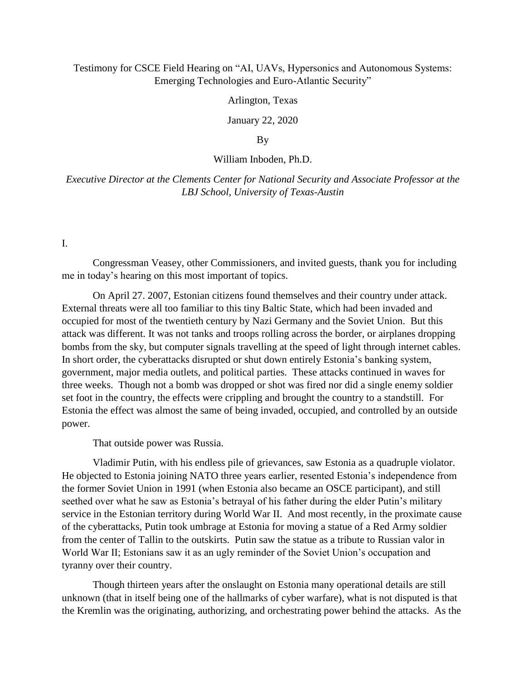# Testimony for CSCE Field Hearing on "AI, UAVs, Hypersonics and Autonomous Systems: Emerging Technologies and Euro-Atlantic Security"

Arlington, Texas

January 22, 2020

By

#### William Inboden, Ph.D.

*Executive Director at the Clements Center for National Security and Associate Professor at the LBJ School, University of Texas-Austin*

I.

Congressman Veasey, other Commissioners, and invited guests, thank you for including me in today's hearing on this most important of topics.

On April 27. 2007, Estonian citizens found themselves and their country under attack. External threats were all too familiar to this tiny Baltic State, which had been invaded and occupied for most of the twentieth century by Nazi Germany and the Soviet Union. But this attack was different. It was not tanks and troops rolling across the border, or airplanes dropping bombs from the sky, but computer signals travelling at the speed of light through internet cables. In short order, the cyberattacks disrupted or shut down entirely Estonia's banking system, government, major media outlets, and political parties. These attacks continued in waves for three weeks. Though not a bomb was dropped or shot was fired nor did a single enemy soldier set foot in the country, the effects were crippling and brought the country to a standstill. For Estonia the effect was almost the same of being invaded, occupied, and controlled by an outside power.

That outside power was Russia.

Vladimir Putin, with his endless pile of grievances, saw Estonia as a quadruple violator. He objected to Estonia joining NATO three years earlier, resented Estonia's independence from the former Soviet Union in 1991 (when Estonia also became an OSCE participant), and still seethed over what he saw as Estonia's betrayal of his father during the elder Putin's military service in the Estonian territory during World War II. And most recently, in the proximate cause of the cyberattacks, Putin took umbrage at Estonia for moving a statue of a Red Army soldier from the center of Tallin to the outskirts. Putin saw the statue as a tribute to Russian valor in World War II; Estonians saw it as an ugly reminder of the Soviet Union's occupation and tyranny over their country.

Though thirteen years after the onslaught on Estonia many operational details are still unknown (that in itself being one of the hallmarks of cyber warfare), what is not disputed is that the Kremlin was the originating, authorizing, and orchestrating power behind the attacks. As the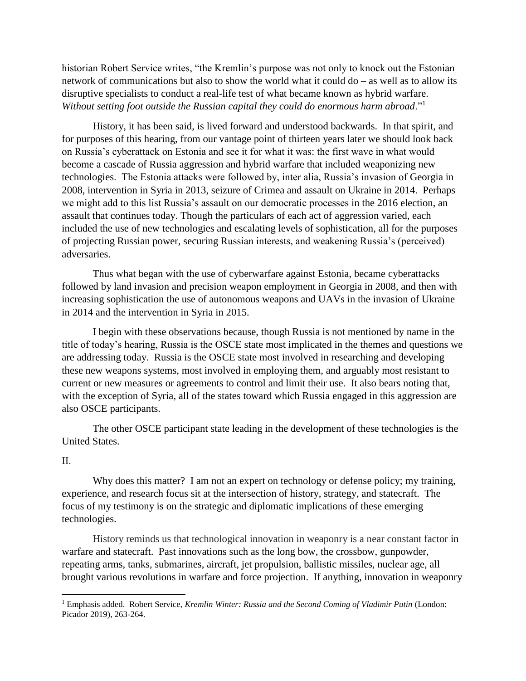historian Robert Service writes, "the Kremlin's purpose was not only to knock out the Estonian network of communications but also to show the world what it could do – as well as to allow its disruptive specialists to conduct a real-life test of what became known as hybrid warfare. *Without setting foot outside the Russian capital they could do enormous harm abroad*."<sup>1</sup>

History, it has been said, is lived forward and understood backwards. In that spirit, and for purposes of this hearing, from our vantage point of thirteen years later we should look back on Russia's cyberattack on Estonia and see it for what it was: the first wave in what would become a cascade of Russia aggression and hybrid warfare that included weaponizing new technologies. The Estonia attacks were followed by, inter alia, Russia's invasion of Georgia in 2008, intervention in Syria in 2013, seizure of Crimea and assault on Ukraine in 2014. Perhaps we might add to this list Russia's assault on our democratic processes in the 2016 election, an assault that continues today. Though the particulars of each act of aggression varied, each included the use of new technologies and escalating levels of sophistication, all for the purposes of projecting Russian power, securing Russian interests, and weakening Russia's (perceived) adversaries.

Thus what began with the use of cyberwarfare against Estonia, became cyberattacks followed by land invasion and precision weapon employment in Georgia in 2008, and then with increasing sophistication the use of autonomous weapons and UAVs in the invasion of Ukraine in 2014 and the intervention in Syria in 2015.

I begin with these observations because, though Russia is not mentioned by name in the title of today's hearing, Russia is the OSCE state most implicated in the themes and questions we are addressing today. Russia is the OSCE state most involved in researching and developing these new weapons systems, most involved in employing them, and arguably most resistant to current or new measures or agreements to control and limit their use. It also bears noting that, with the exception of Syria, all of the states toward which Russia engaged in this aggression are also OSCE participants.

The other OSCE participant state leading in the development of these technologies is the United States.

### II.

 $\overline{a}$ 

Why does this matter? I am not an expert on technology or defense policy; my training, experience, and research focus sit at the intersection of history, strategy, and statecraft. The focus of my testimony is on the strategic and diplomatic implications of these emerging technologies.

History reminds us that technological innovation in weaponry is a near constant factor in warfare and statecraft. Past innovations such as the long bow, the crossbow, gunpowder, repeating arms, tanks, submarines, aircraft, jet propulsion, ballistic missiles, nuclear age, all brought various revolutions in warfare and force projection. If anything, innovation in weaponry

<sup>&</sup>lt;sup>1</sup> Emphasis added. Robert Service, *Kremlin Winter: Russia and the Second Coming of Vladimir Putin* (London: Picador 2019), 263-264.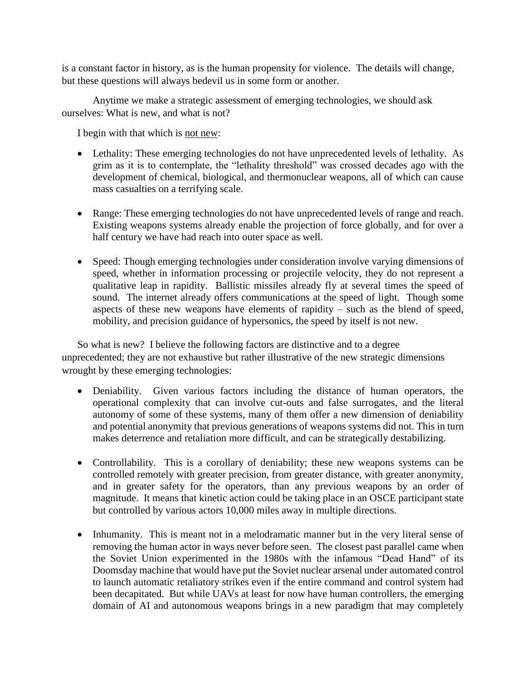is a constant factor in history, as is the human propensity for violence. The details will change, but these questions will always bedevil us in some form or another.

Anytime we make a strategic assessment of emerging technologies, we should ask ourselves: What is new, and what is not?

I begin with that which is not new:

- Lethality: These emerging technologies do not have unprecedented levels of lethality. As grim as it is to contemplate, the "lethality threshold" was crossed decades ago with the development of chemical, biological, and thermonuclear weapons, all of which can cause mass casualties on a terrifying scale.
- Range: These emerging technologies do not have unprecedented levels of range and reach. Existing weapons systems already enable the projection of force globally, and for over a half century we have had reach into outer space as well.
- Speed: Though emerging technologies under consideration involve varying dimensions of speed, whether in information processing or projectile velocity, they do not represent a qualitative leap in rapidity. Ballistic missiles already fly at several times the speed of sound. The internet already offers communications at the speed of light. Though some aspects of these new weapons have elements of rapidity – such as the blend of speed, mobility, and precision guidance of hypersonics, the speed by itself is not new.

So what is new? I believe the following factors are distinctive and to a degree unprecedented; they are not exhaustive but rather illustrative of the new strategic dimensions wrought by these emerging technologies:

- Deniability. Given various factors including the distance of human operators, the operational complexity that can involve cut-outs and false surrogates, and the literal autonomy of some of these systems, many of them offer a new dimension of deniability and potential anonymity that previous generations of weapons systems did not. This in turn makes deterrence and retaliation more difficult, and can be strategically destabilizing.
- Controllability. This is a corollary of deniability; these new weapons systems can be controlled remotely with greater precision, from greater distance, with greater anonymity, and in greater safety for the operators, than any previous weapons by an order of magnitude. It means that kinetic action could be taking place in an OSCE participant state but controlled by various actors 10,000 miles away in multiple directions.
- Inhumanity. This is meant not in a melodramatic manner but in the very literal sense of removing the human actor in ways never before seen. The closest past parallel came when the Soviet Union experimented in the 1980s with the infamous "Dead Hand" of its Doomsday machine that would have put the Soviet nuclear arsenal under automated control to launch automatic retaliatory strikes even if the entire command and control system had been decapitated. But while UAVs at least for now have human controllers, the emerging domain of AI and autonomous weapons brings in a new paradigm that may completely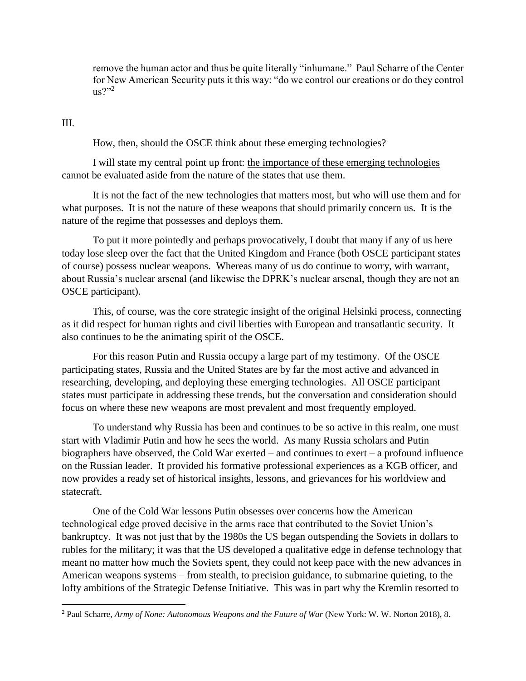remove the human actor and thus be quite literally "inhumane." Paul Scharre of the Center for New American Security puts it this way: "do we control our creations or do they control  $us?''^2$ 

III.

 $\overline{a}$ 

How, then, should the OSCE think about these emerging technologies?

I will state my central point up front: the importance of these emerging technologies cannot be evaluated aside from the nature of the states that use them.

It is not the fact of the new technologies that matters most, but who will use them and for what purposes. It is not the nature of these weapons that should primarily concern us. It is the nature of the regime that possesses and deploys them.

To put it more pointedly and perhaps provocatively, I doubt that many if any of us here today lose sleep over the fact that the United Kingdom and France (both OSCE participant states of course) possess nuclear weapons. Whereas many of us do continue to worry, with warrant, about Russia's nuclear arsenal (and likewise the DPRK's nuclear arsenal, though they are not an OSCE participant).

This, of course, was the core strategic insight of the original Helsinki process, connecting as it did respect for human rights and civil liberties with European and transatlantic security. It also continues to be the animating spirit of the OSCE.

For this reason Putin and Russia occupy a large part of my testimony. Of the OSCE participating states, Russia and the United States are by far the most active and advanced in researching, developing, and deploying these emerging technologies. All OSCE participant states must participate in addressing these trends, but the conversation and consideration should focus on where these new weapons are most prevalent and most frequently employed.

To understand why Russia has been and continues to be so active in this realm, one must start with Vladimir Putin and how he sees the world. As many Russia scholars and Putin biographers have observed, the Cold War exerted – and continues to exert – a profound influence on the Russian leader. It provided his formative professional experiences as a KGB officer, and now provides a ready set of historical insights, lessons, and grievances for his worldview and statecraft.

One of the Cold War lessons Putin obsesses over concerns how the American technological edge proved decisive in the arms race that contributed to the Soviet Union's bankruptcy. It was not just that by the 1980s the US began outspending the Soviets in dollars to rubles for the military; it was that the US developed a qualitative edge in defense technology that meant no matter how much the Soviets spent, they could not keep pace with the new advances in American weapons systems – from stealth, to precision guidance, to submarine quieting, to the lofty ambitions of the Strategic Defense Initiative. This was in part why the Kremlin resorted to

<sup>2</sup> Paul Scharre, *Army of None: Autonomous Weapons and the Future of War* (New York: W. W. Norton 2018), 8.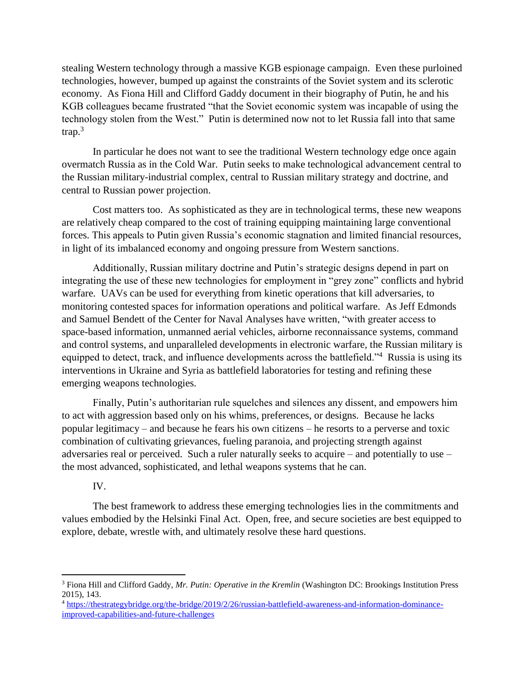stealing Western technology through a massive KGB espionage campaign. Even these purloined technologies, however, bumped up against the constraints of the Soviet system and its sclerotic economy. As Fiona Hill and Clifford Gaddy document in their biography of Putin, he and his KGB colleagues became frustrated "that the Soviet economic system was incapable of using the technology stolen from the West." Putin is determined now not to let Russia fall into that same  $trap.<sup>3</sup>$ 

In particular he does not want to see the traditional Western technology edge once again overmatch Russia as in the Cold War. Putin seeks to make technological advancement central to the Russian military-industrial complex, central to Russian military strategy and doctrine, and central to Russian power projection.

Cost matters too. As sophisticated as they are in technological terms, these new weapons are relatively cheap compared to the cost of training equipping maintaining large conventional forces. This appeals to Putin given Russia's economic stagnation and limited financial resources, in light of its imbalanced economy and ongoing pressure from Western sanctions.

Additionally, Russian military doctrine and Putin's strategic designs depend in part on integrating the use of these new technologies for employment in "grey zone" conflicts and hybrid warfare. UAVs can be used for everything from kinetic operations that kill adversaries, to monitoring contested spaces for information operations and political warfare. As Jeff Edmonds and Samuel Bendett of the Center for Naval Analyses have written, "with greater access to space-based information, unmanned aerial vehicles, airborne reconnaissance systems, command and control systems, and unparalleled developments in electronic warfare, the Russian military is equipped to detect, track, and influence developments across the battlefield."<sup>4</sup> Russia is using its interventions in Ukraine and Syria as battlefield laboratories for testing and refining these emerging weapons technologies.

Finally, Putin's authoritarian rule squelches and silences any dissent, and empowers him to act with aggression based only on his whims, preferences, or designs. Because he lacks popular legitimacy – and because he fears his own citizens – he resorts to a perverse and toxic combination of cultivating grievances, fueling paranoia, and projecting strength against adversaries real or perceived. Such a ruler naturally seeks to acquire – and potentially to use – the most advanced, sophisticated, and lethal weapons systems that he can.

### IV.

 $\overline{a}$ 

The best framework to address these emerging technologies lies in the commitments and values embodied by the Helsinki Final Act. Open, free, and secure societies are best equipped to explore, debate, wrestle with, and ultimately resolve these hard questions.

<sup>3</sup> Fiona Hill and Clifford Gaddy, *Mr. Putin: Operative in the Kremlin* (Washington DC: Brookings Institution Press 2015), 143.

<sup>4</sup> [https://thestrategybridge.org/the-bridge/2019/2/26/russian-battlefield-awareness-and-information-dominance](https://thestrategybridge.org/the-bridge/2019/2/26/russian-battlefield-awareness-and-information-dominance-improved-capabilities-and-future-challenges)[improved-capabilities-and-future-challenges](https://thestrategybridge.org/the-bridge/2019/2/26/russian-battlefield-awareness-and-information-dominance-improved-capabilities-and-future-challenges)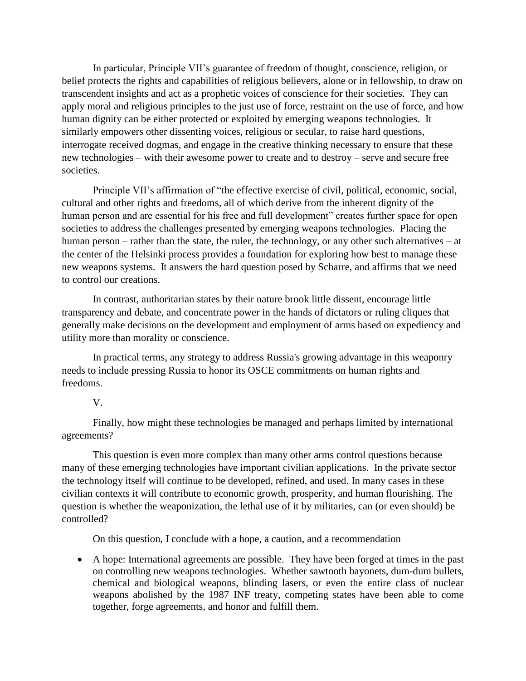In particular, Principle VII's guarantee of freedom of thought, conscience, religion, or belief protects the rights and capabilities of religious believers, alone or in fellowship, to draw on transcendent insights and act as a prophetic voices of conscience for their societies. They can apply moral and religious principles to the just use of force, restraint on the use of force, and how human dignity can be either protected or exploited by emerging weapons technologies. It similarly empowers other dissenting voices, religious or secular, to raise hard questions, interrogate received dogmas, and engage in the creative thinking necessary to ensure that these new technologies – with their awesome power to create and to destroy – serve and secure free societies.

Principle VII's affirmation of "the effective exercise of civil, political, economic, social, cultural and other rights and freedoms, all of which derive from the inherent dignity of the human person and are essential for his free and full development" creates further space for open societies to address the challenges presented by emerging weapons technologies. Placing the human person – rather than the state, the ruler, the technology, or any other such alternatives – at the center of the Helsinki process provides a foundation for exploring how best to manage these new weapons systems. It answers the hard question posed by Scharre, and affirms that we need to control our creations.

In contrast, authoritarian states by their nature brook little dissent, encourage little transparency and debate, and concentrate power in the hands of dictators or ruling cliques that generally make decisions on the development and employment of arms based on expediency and utility more than morality or conscience.

In practical terms, any strategy to address Russia's growing advantage in this weaponry needs to include pressing Russia to honor its OSCE commitments on human rights and freedoms.

# V.

Finally, how might these technologies be managed and perhaps limited by international agreements?

This question is even more complex than many other arms control questions because many of these emerging technologies have important civilian applications. In the private sector the technology itself will continue to be developed, refined, and used. In many cases in these civilian contexts it will contribute to economic growth, prosperity, and human flourishing. The question is whether the weaponization, the lethal use of it by militaries, can (or even should) be controlled?

On this question, I conclude with a hope, a caution, and a recommendation

 A hope: International agreements are possible. They have been forged at times in the past on controlling new weapons technologies. Whether sawtooth bayonets, dum-dum bullets, chemical and biological weapons, blinding lasers, or even the entire class of nuclear weapons abolished by the 1987 INF treaty, competing states have been able to come together, forge agreements, and honor and fulfill them.